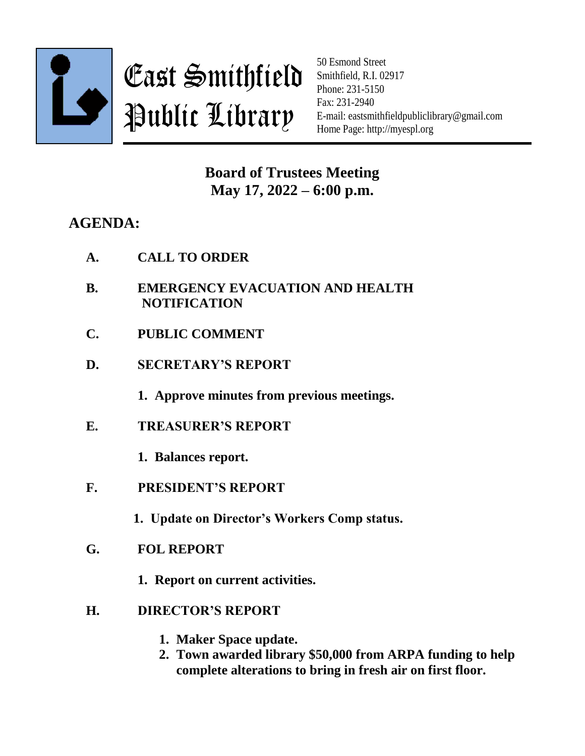

East Smithfield Public Library

50 Esmond Street Smithfield, R.I. 02917 Phone: 231-5150 Fax: 231-2940 E-mail: eastsmithfieldpubliclibrary@gmail.com Home Page: http://myespl.org

**Board of Trustees Meeting May 17, 2022 – 6:00 p.m.**

## **AGENDA:**

- **B. EMERGENCY EVACUATION AND HEALTH NOTIFICATION**
- **C. PUBLIC COMMENT**
- **D. SECRETARY'S REPORT**

**1. Approve minutes from previous meetings.**

**E. TREASURER'S REPORT**

**1. Balances report.**

**F. PRESIDENT'S REPORT**

**1. Update on Director's Workers Comp status.**

- **G. FOL REPORT**
	- **1. Report on current activities.**
- **H. DIRECTOR'S REPORT**
	- **1. Maker Space update.**
	- **2. Town awarded library \$50,000 from ARPA funding to help complete alterations to bring in fresh air on first floor.**